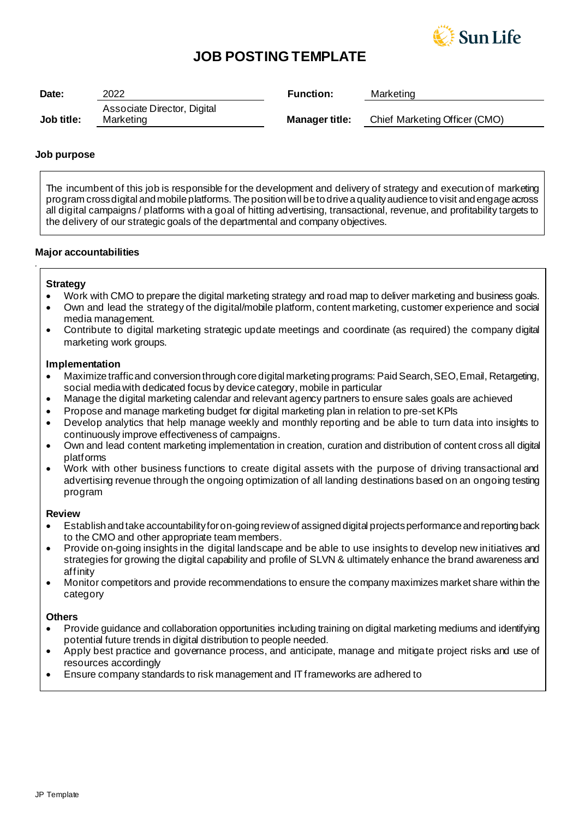

## **JOB POSTING TEMPLATE**

| Date:      | 2022                        | <b>Function:</b>      | Marketing                     |
|------------|-----------------------------|-----------------------|-------------------------------|
|            | Associate Director, Digital |                       |                               |
| Job title: | Marketing                   | <b>Manager title:</b> | Chief Marketing Officer (CMO) |

## **Job purpose**

The incumbent of this job is responsible for the development and delivery of strategy and execution of marketing program cross digital and mobile platforms. The position will be to drive a quality audience to visit and engage across all digital campaigns / platforms with a goal of hitting advertising, transactional, revenue, and profitability targets to the delivery of our strategic goals of the departmental and company objectives.

## **Major accountabilities**

## **Strategy**

*.*

- Work with CMO to prepare the digital marketing strategy and road map to deliver marketing and business goals.
- Own and lead the strategy of the digital/mobile platform, content marketing, customer experience and social media management.
- Contribute to digital marketing strategic update meetings and coordinate (as required) the company digital marketing work groups.

## **Implementation**

- Maximize traffic and conversion through core digital marketing programs: Paid Search, SEO, Email, Retargeting, social media with dedicated focus by device category, mobile in particular
- Manage the digital marketing calendar and relevant agency partners to ensure sales goals are achieved
- Propose and manage marketing budget for digital marketing plan in relation to pre-set KPIs
- Develop analytics that help manage weekly and monthly reporting and be able to turn data into insights to continuously improve effectiveness of campaigns.
- Own and lead content marketing implementation in creation, curation and distribution of content cross all digital platforms
- Work with other business functions to create digital assets with the purpose of driving transactional and advertising revenue through the ongoing optimization of all landing destinations based on an ongoing testing program

## **Review**

- Establish and take accountability for on-going review of assigned digital projects performance and reporting back to the CMO and other appropriate team members.
- Provide on-going insights in the digital landscape and be able to use insights to develop new initiatives and strategies for growing the digital capability and profile of SLVN & ultimately enhance the brand awareness and affinity
- Monitor competitors and provide recommendations to ensure the company maximizes market share within the category

## **Others**

- Provide guidance and collaboration opportunities including training on digital marketing mediums and identifying potential future trends in digital distribution to people needed.
- Apply best practice and governance process, and anticipate, manage and mitigate project risks and use of resources accordingly
- Ensure company standards to risk management and IT frameworks are adhered to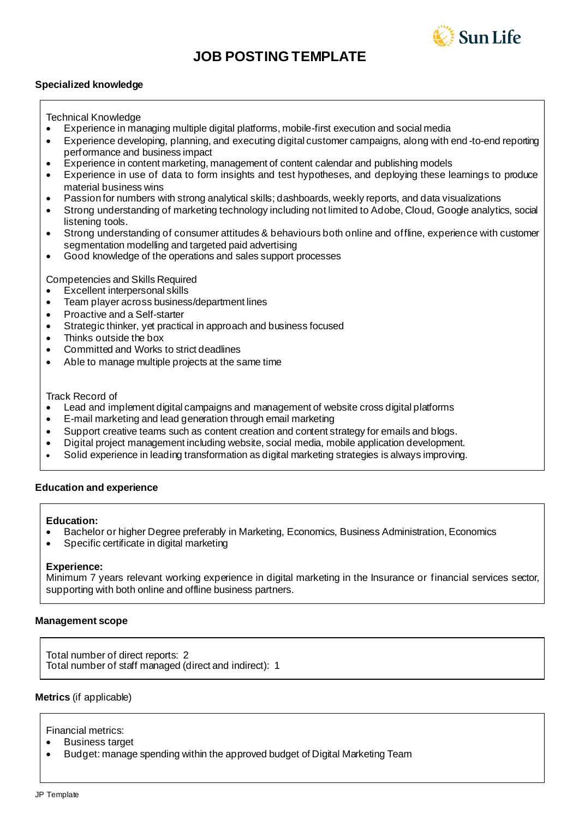



## **Specialized knowledge**

Technical Knowledge

- Experience in managing multiple digital platforms, mobile-first execution and social media
- Experience developing, planning, and executing digital customer campaigns, along with end -to-end reporting performance and business impact
- Experience in content marketing, management of content calendar and publishing models
- Experience in use of data to form insights and test hypotheses, and deploying these learnings to produce material business wins
- Passion for numbers with strong analytical skills; dashboards, weekly reports, and data visualizations
- Strong understanding of marketing technology including not limited to Adobe, Cloud, Google analytics, social listening tools.
- Strong understanding of consumer attitudes & behaviours both online and offline, experience with customer segmentation modelling and targeted paid advertising
- Good knowledge of the operations and sales support processes

Competencies and Skills Required

- Excellent interpersonal skills
- Team player across business/department lines
- Proactive and a Self-starter
- Strategic thinker, yet practical in approach and business focused
- Thinks outside the box
- Committed and Works to strict deadlines
- Able to manage multiple projects at the same time

Track Record of

- Lead and implement digital campaigns and management of website cross digital platforms
- E-mail marketing and lead generation through email marketing
- Support creative teams such as content creation and content strategy for emails and blogs.
- Digital project management including website, social media, mobile application development.
- Solid experience in leading transformation as digital marketing strategies is always improving.

## **Education and experience**

## **Education:**

- Bachelor or higher Degree preferably in Marketing, Economics, Business Administration, Economics
- Specific certificate in digital marketing

## **Experience:**

Minimum 7 years relevant working experience in digital marketing in the Insurance or financial services sector, supporting with both online and offline business partners.

## **Management scope**

Total number of direct reports: 2 Total number of staff managed (direct and indirect):1

**Metrics** (if applicable)

Financial metrics:

- Business target
- Budget: manage spending within the approved budget of Digital Marketing Team